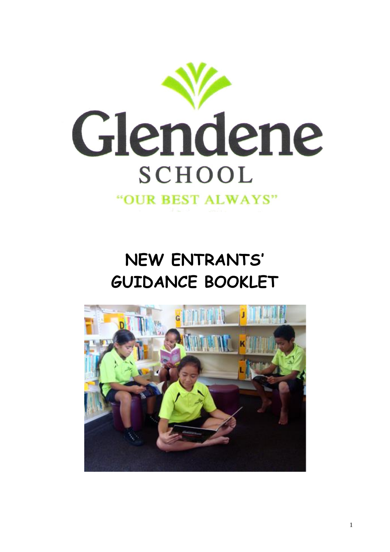

**NEW ENTRANTS' GUIDANCE BOOKLET**

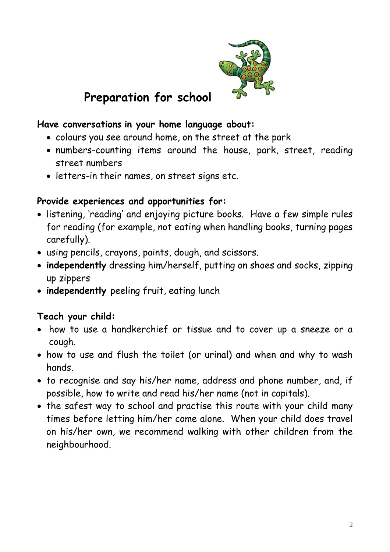

## **Preparation for school**

#### **Have conversations in your home language about:**

- colours you see around home, on the street at the park
- numbers-counting items around the house, park, street, reading street numbers
- letters-in their names, on street signs etc.

#### **Provide experiences and opportunities for:**

- listening, 'reading' and enjoying picture books. Have a few simple rules for reading (for example, not eating when handling books, turning pages carefully).
- using pencils, crayons, paints, dough, and scissors.
- **independently** dressing him/herself, putting on shoes and socks, zipping up zippers
- **independently** peeling fruit, eating lunch

#### **Teach your child:**

- how to use a handkerchief or tissue and to cover up a sneeze or a cough.
- how to use and flush the toilet (or urinal) and when and why to wash hands.
- to recognise and say his/her name, address and phone number, and, if possible, how to write and read his/her name (not in capitals).
- the safest way to school and practise this route with your child many times before letting him/her come alone. When your child does travel on his/her own, we recommend walking with other children from the neighbourhood.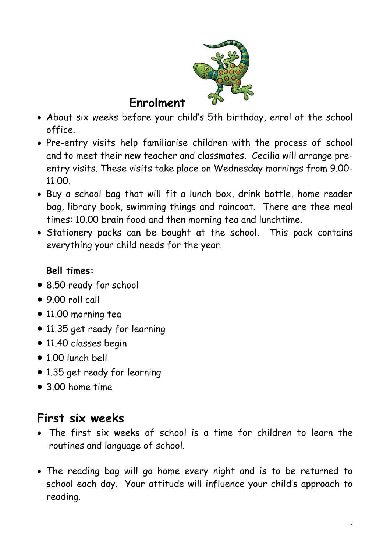

## **Enrolment**

- About six weeks before your child's 5th birthday, enrol at the school office.
- Pre-entry visits help familiarise children with the process of school and to meet their new teacher and classmates. Cecilia will arrange preentry visits. These visits take place on Wednesday mornings from 9.00- 11.00.
- Buy a school bag that will fit a lunch box, drink bottle, home reader bag, library book, swimming things and raincoat. There are thee meal times: 10.00 brain food and then morning tea and lunchtime.
- Stationery packs can be bought at the school. This pack contains everything your child needs for the year.

### **Bell times:**

- 8.50 ready for school
- 9.00 roll call
- 11.00 morning tea
- 11.35 get ready for learning
- 11.40 classes begin
- 1.00 lunch bell
- 1.35 get ready for learning
- 3.00 home time

# **First six weeks**

- The first six weeks of school is a time for children to learn the routines and language of school.
- The reading bag will go home every night and is to be returned to school each day. Your attitude will influence your child's approach to reading.